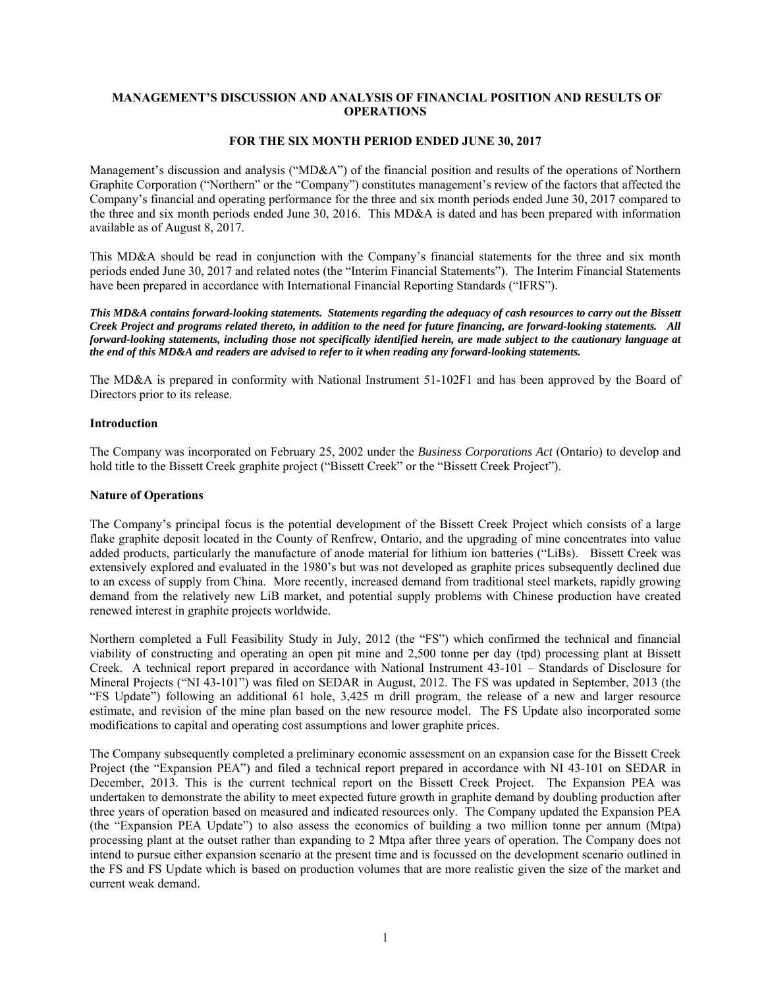# **MANAGEMENT'S DISCUSSION AND ANALYSIS OF FINANCIAL POSITION AND RESULTS OF OPERATIONS**

# **FOR THE SIX MONTH PERIOD ENDED JUNE 30, 2017**

Management's discussion and analysis ("MD&A") of the financial position and results of the operations of Northern Graphite Corporation ("Northern" or the "Company") constitutes management's review of the factors that affected the Company's financial and operating performance for the three and six month periods ended June 30, 2017 compared to the three and six month periods ended June 30, 2016. This MD&A is dated and has been prepared with information available as of August 8, 2017.

This MD&A should be read in conjunction with the Company's financial statements for the three and six month periods ended June 30, 2017 and related notes (the "Interim Financial Statements"). The Interim Financial Statements have been prepared in accordance with International Financial Reporting Standards ("IFRS").

*This MD&A contains forward-looking statements. Statements regarding the adequacy of cash resources to carry out the Bissett Creek Project and programs related thereto, in addition to the need for future financing, are forward-looking statements. All forward-looking statements, including those not specifically identified herein, are made subject to the cautionary language at the end of this MD&A and readers are advised to refer to it when reading any forward-looking statements.* 

The MD&A is prepared in conformity with National Instrument 51-102F1 and has been approved by the Board of Directors prior to its release.

#### **Introduction**

The Company was incorporated on February 25, 2002 under the *Business Corporations Act* (Ontario) to develop and hold title to the Bissett Creek graphite project ("Bissett Creek" or the "Bissett Creek Project").

## **Nature of Operations**

The Company's principal focus is the potential development of the Bissett Creek Project which consists of a large flake graphite deposit located in the County of Renfrew, Ontario, and the upgrading of mine concentrates into value added products, particularly the manufacture of anode material for lithium ion batteries ("LiBs). Bissett Creek was extensively explored and evaluated in the 1980's but was not developed as graphite prices subsequently declined due to an excess of supply from China. More recently, increased demand from traditional steel markets, rapidly growing demand from the relatively new LiB market, and potential supply problems with Chinese production have created renewed interest in graphite projects worldwide.

Northern completed a Full Feasibility Study in July, 2012 (the "FS") which confirmed the technical and financial viability of constructing and operating an open pit mine and 2,500 tonne per day (tpd) processing plant at Bissett Creek. A technical report prepared in accordance with National Instrument 43-101 – Standards of Disclosure for Mineral Projects ("NI 43-101") was filed on SEDAR in August, 2012. The FS was updated in September, 2013 (the "FS Update") following an additional 61 hole, 3,425 m drill program, the release of a new and larger resource estimate, and revision of the mine plan based on the new resource model. The FS Update also incorporated some modifications to capital and operating cost assumptions and lower graphite prices.

The Company subsequently completed a preliminary economic assessment on an expansion case for the Bissett Creek Project (the "Expansion PEA") and filed a technical report prepared in accordance with NI 43-101 on SEDAR in December, 2013. This is the current technical report on the Bissett Creek Project. The Expansion PEA was undertaken to demonstrate the ability to meet expected future growth in graphite demand by doubling production after three years of operation based on measured and indicated resources only. The Company updated the Expansion PEA (the "Expansion PEA Update") to also assess the economics of building a two million tonne per annum (Mtpa) processing plant at the outset rather than expanding to 2 Mtpa after three years of operation. The Company does not intend to pursue either expansion scenario at the present time and is focussed on the development scenario outlined in the FS and FS Update which is based on production volumes that are more realistic given the size of the market and current weak demand.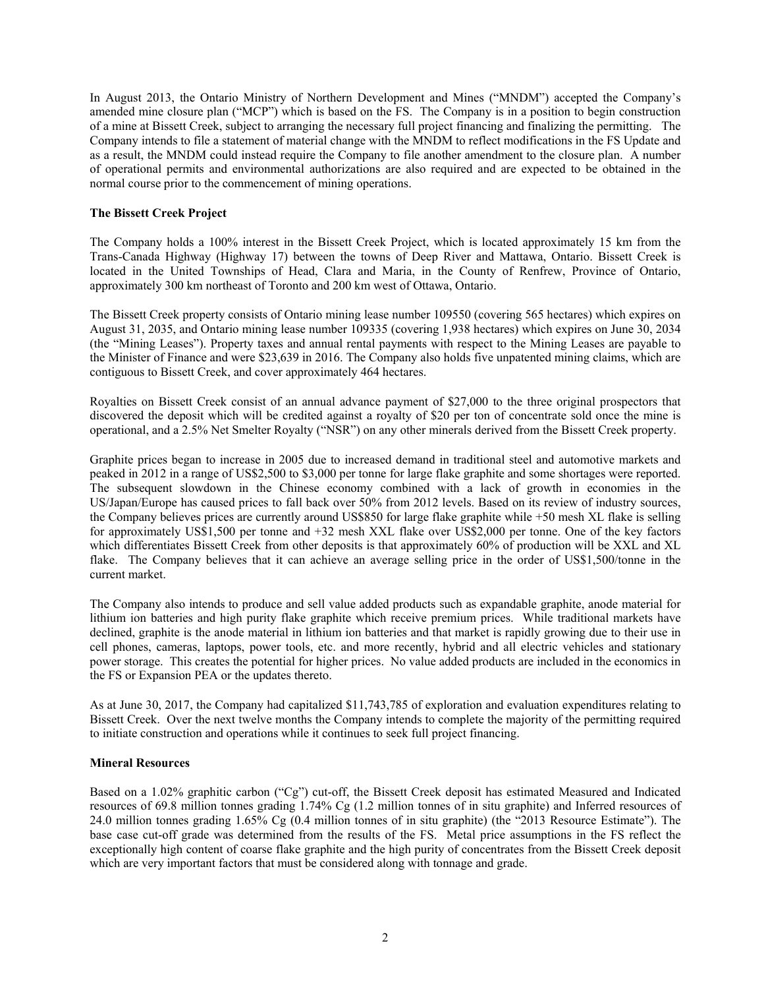In August 2013, the Ontario Ministry of Northern Development and Mines ("MNDM") accepted the Company's amended mine closure plan ("MCP") which is based on the FS. The Company is in a position to begin construction of a mine at Bissett Creek, subject to arranging the necessary full project financing and finalizing the permitting. The Company intends to file a statement of material change with the MNDM to reflect modifications in the FS Update and as a result, the MNDM could instead require the Company to file another amendment to the closure plan. A number of operational permits and environmental authorizations are also required and are expected to be obtained in the normal course prior to the commencement of mining operations.

# **The Bissett Creek Project**

The Company holds a 100% interest in the Bissett Creek Project, which is located approximately 15 km from the Trans-Canada Highway (Highway 17) between the towns of Deep River and Mattawa, Ontario. Bissett Creek is located in the United Townships of Head, Clara and Maria, in the County of Renfrew, Province of Ontario, approximately 300 km northeast of Toronto and 200 km west of Ottawa, Ontario.

The Bissett Creek property consists of Ontario mining lease number 109550 (covering 565 hectares) which expires on August 31, 2035, and Ontario mining lease number 109335 (covering 1,938 hectares) which expires on June 30, 2034 (the "Mining Leases"). Property taxes and annual rental payments with respect to the Mining Leases are payable to the Minister of Finance and were \$23,639 in 2016. The Company also holds five unpatented mining claims, which are contiguous to Bissett Creek, and cover approximately 464 hectares.

Royalties on Bissett Creek consist of an annual advance payment of \$27,000 to the three original prospectors that discovered the deposit which will be credited against a royalty of \$20 per ton of concentrate sold once the mine is operational, and a 2.5% Net Smelter Royalty ("NSR") on any other minerals derived from the Bissett Creek property.

Graphite prices began to increase in 2005 due to increased demand in traditional steel and automotive markets and peaked in 2012 in a range of US\$2,500 to \$3,000 per tonne for large flake graphite and some shortages were reported. The subsequent slowdown in the Chinese economy combined with a lack of growth in economies in the US/Japan/Europe has caused prices to fall back over 50% from 2012 levels. Based on its review of industry sources, the Company believes prices are currently around US\$850 for large flake graphite while +50 mesh XL flake is selling for approximately US\$1,500 per tonne and +32 mesh XXL flake over US\$2,000 per tonne. One of the key factors which differentiates Bissett Creek from other deposits is that approximately 60% of production will be XXL and XL flake. The Company believes that it can achieve an average selling price in the order of US\$1,500/tonne in the current market.

The Company also intends to produce and sell value added products such as expandable graphite, anode material for lithium ion batteries and high purity flake graphite which receive premium prices. While traditional markets have declined, graphite is the anode material in lithium ion batteries and that market is rapidly growing due to their use in cell phones, cameras, laptops, power tools, etc. and more recently, hybrid and all electric vehicles and stationary power storage. This creates the potential for higher prices. No value added products are included in the economics in the FS or Expansion PEA or the updates thereto.

As at June 30, 2017, the Company had capitalized \$11,743,785 of exploration and evaluation expenditures relating to Bissett Creek. Over the next twelve months the Company intends to complete the majority of the permitting required to initiate construction and operations while it continues to seek full project financing.

### **Mineral Resources**

Based on a 1.02% graphitic carbon ("Cg") cut-off, the Bissett Creek deposit has estimated Measured and Indicated resources of 69.8 million tonnes grading 1.74% Cg (1.2 million tonnes of in situ graphite) and Inferred resources of 24.0 million tonnes grading 1.65% Cg (0.4 million tonnes of in situ graphite) (the "2013 Resource Estimate"). The base case cut-off grade was determined from the results of the FS. Metal price assumptions in the FS reflect the exceptionally high content of coarse flake graphite and the high purity of concentrates from the Bissett Creek deposit which are very important factors that must be considered along with tonnage and grade.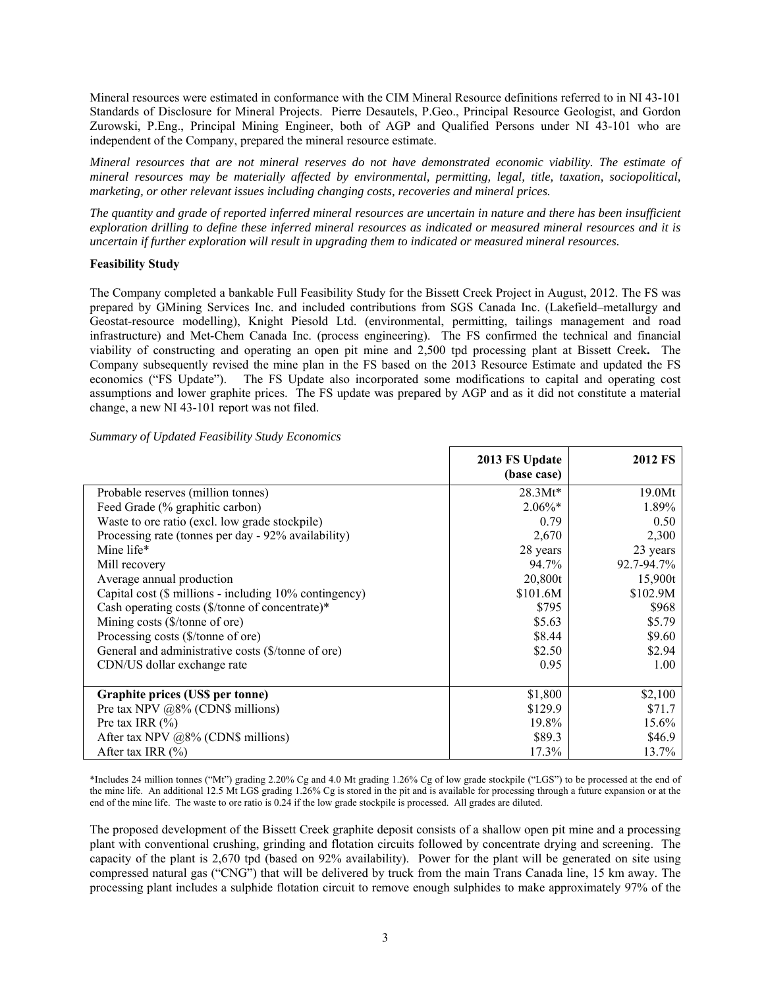Mineral resources were estimated in conformance with the CIM Mineral Resource definitions referred to in NI 43-101 Standards of Disclosure for Mineral Projects. Pierre Desautels, P.Geo., Principal Resource Geologist, and Gordon Zurowski, P.Eng., Principal Mining Engineer, both of AGP and Qualified Persons under NI 43-101 who are independent of the Company, prepared the mineral resource estimate.

*Mineral resources that are not mineral reserves do not have demonstrated economic viability. The estimate of mineral resources may be materially affected by environmental, permitting, legal, title, taxation, sociopolitical, marketing, or other relevant issues including changing costs, recoveries and mineral prices.* 

*The quantity and grade of reported inferred mineral resources are uncertain in nature and there has been insufficient exploration drilling to define these inferred mineral resources as indicated or measured mineral resources and it is uncertain if further exploration will result in upgrading them to indicated or measured mineral resources.* 

# **Feasibility Study**

The Company completed a bankable Full Feasibility Study for the Bissett Creek Project in August, 2012. The FS was prepared by GMining Services Inc. and included contributions from SGS Canada Inc. (Lakefield–metallurgy and Geostat-resource modelling), Knight Piesold Ltd. (environmental, permitting, tailings management and road infrastructure) and Met-Chem Canada Inc. (process engineering). The FS confirmed the technical and financial viability of constructing and operating an open pit mine and 2,500 tpd processing plant at Bissett Creek**.** The Company subsequently revised the mine plan in the FS based on the 2013 Resource Estimate and updated the FS economics ("FS Update"). The FS Update also incorporated some modifications to capital and operating cost assumptions and lower graphite prices. The FS update was prepared by AGP and as it did not constitute a material change, a new NI 43-101 report was not filed.

|  |  |  |  | <b>Summary of Updated Feasibility Study Economics</b> |
|--|--|--|--|-------------------------------------------------------|
|--|--|--|--|-------------------------------------------------------|

|                                                        | 2013 FS Update | <b>2012 FS</b> |
|--------------------------------------------------------|----------------|----------------|
|                                                        | (base case)    |                |
| Probable reserves (million tonnes)                     | $28.3Mt*$      | 19.0Mt         |
| Feed Grade (% graphitic carbon)                        | $2.06\%*$      | 1.89%          |
| Waste to ore ratio (excl. low grade stockpile)         | 0.79           | 0.50           |
| Processing rate (tonnes per day - 92% availability)    | 2,670          | 2,300          |
| Mine life*                                             | 28 years       | 23 years       |
| Mill recovery                                          | 94.7%          | 92.7-94.7%     |
| Average annual production                              | 20,800t        | 15,900t        |
| Capital cost (\$ millions - including 10% contingency) | \$101.6M       | \$102.9M       |
| Cash operating costs (\$/tonne of concentrate)*        | \$795          | \$968          |
| Mining costs (\$/tonne of ore)                         | \$5.63         | \$5.79         |
| Processing costs (\$/tonne of ore)                     | \$8.44         | \$9.60         |
| General and administrative costs (\$/tonne of ore)     | \$2.50         | \$2.94         |
| CDN/US dollar exchange rate                            | 0.95           | 1.00           |
|                                                        |                |                |
| Graphite prices (US\$ per tonne)                       | \$1,800        | \$2,100        |
| Pre tax NPV $@8\%$ (CDN\$ millions)                    | \$129.9        | \$71.7         |
| Pre tax IRR $(\% )$                                    | 19.8%          | 15.6%          |
| After tax NPV $@8\%$ (CDN\$ millions)                  | \$89.3         | \$46.9         |
| After tax IRR $(\% )$                                  | 17.3%          | 13.7%          |

\*Includes 24 million tonnes ("Mt") grading 2.20% Cg and 4.0 Mt grading 1.26% Cg of low grade stockpile ("LGS") to be processed at the end of the mine life. An additional 12.5 Mt LGS grading 1.26% Cg is stored in the pit and is available for processing through a future expansion or at the end of the mine life. The waste to ore ratio is 0.24 if the low grade stockpile is processed. All grades are diluted.

The proposed development of the Bissett Creek graphite deposit consists of a shallow open pit mine and a processing plant with conventional crushing, grinding and flotation circuits followed by concentrate drying and screening. The capacity of the plant is 2,670 tpd (based on 92% availability). Power for the plant will be generated on site using compressed natural gas ("CNG") that will be delivered by truck from the main Trans Canada line, 15 km away. The processing plant includes a sulphide flotation circuit to remove enough sulphides to make approximately 97% of the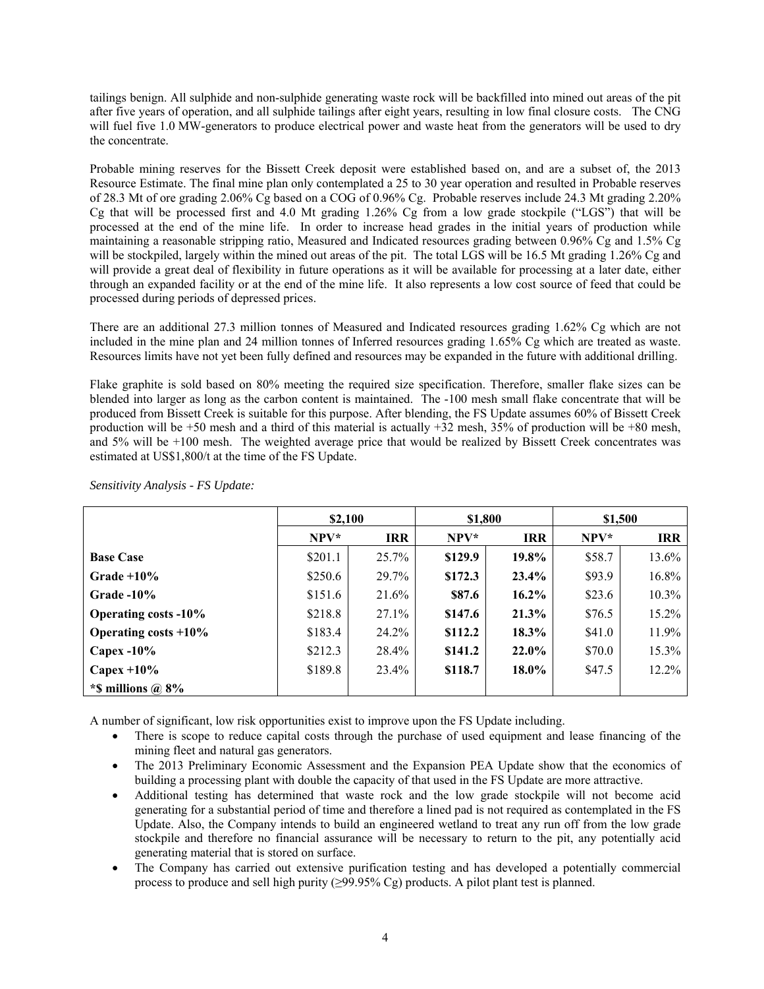tailings benign. All sulphide and non-sulphide generating waste rock will be backfilled into mined out areas of the pit after five years of operation, and all sulphide tailings after eight years, resulting in low final closure costs. The CNG will fuel five 1.0 MW-generators to produce electrical power and waste heat from the generators will be used to dry the concentrate.

Probable mining reserves for the Bissett Creek deposit were established based on, and are a subset of, the 2013 Resource Estimate. The final mine plan only contemplated a 25 to 30 year operation and resulted in Probable reserves of 28.3 Mt of ore grading 2.06% Cg based on a COG of 0.96% Cg. Probable reserves include 24.3 Mt grading 2.20% Cg that will be processed first and 4.0 Mt grading 1.26% Cg from a low grade stockpile ("LGS") that will be processed at the end of the mine life. In order to increase head grades in the initial years of production while maintaining a reasonable stripping ratio, Measured and Indicated resources grading between 0.96% Cg and 1.5% Cg will be stockpiled, largely within the mined out areas of the pit. The total LGS will be 16.5 Mt grading 1.26% Cg and will provide a great deal of flexibility in future operations as it will be available for processing at a later date, either through an expanded facility or at the end of the mine life. It also represents a low cost source of feed that could be processed during periods of depressed prices.

There are an additional 27.3 million tonnes of Measured and Indicated resources grading 1.62% Cg which are not included in the mine plan and 24 million tonnes of Inferred resources grading 1.65% Cg which are treated as waste. Resources limits have not yet been fully defined and resources may be expanded in the future with additional drilling.

Flake graphite is sold based on 80% meeting the required size specification. Therefore, smaller flake sizes can be blended into larger as long as the carbon content is maintained. The -100 mesh small flake concentrate that will be produced from Bissett Creek is suitable for this purpose. After blending, the FS Update assumes 60% of Bissett Creek production will be +50 mesh and a third of this material is actually +32 mesh, 35% of production will be +80 mesh, and 5% will be +100 mesh. The weighted average price that would be realized by Bissett Creek concentrates was estimated at US\$1,800/t at the time of the FS Update.

|                             | \$2,100 |            | \$1,800 |            | \$1,500 |            |
|-----------------------------|---------|------------|---------|------------|---------|------------|
|                             | $NPV*$  | <b>IRR</b> | $NPV*$  | <b>IRR</b> | $NPV^*$ | <b>IRR</b> |
| <b>Base Case</b>            | \$201.1 | 25.7%      | \$129.9 | 19.8%      | \$58.7  | 13.6%      |
| Grade $+10\%$               | \$250.6 | 29.7%      | \$172.3 | $23.4\%$   | \$93.9  | 16.8%      |
| Grade $-10\%$               | \$151.6 | 21.6%      | \$87.6  | $16.2\%$   | \$23.6  | 10.3%      |
| <b>Operating costs -10%</b> | \$218.8 | $27.1\%$   | \$147.6 | $21.3\%$   | \$76.5  | 15.2%      |
| Operating costs $+10\%$     | \$183.4 | 24.2%      | \$112.2 | 18.3%      | \$41.0  | 11.9%      |
| Capex $-10\%$               | \$212.3 | 28.4%      | \$141.2 | $22.0\%$   | \$70.0  | 15.3%      |
| Capex $+10\%$               | \$189.8 | 23.4%      | \$118.7 | 18.0%      | \$47.5  | 12.2%      |
| *\$ millions $\omega$ 8%    |         |            |         |            |         |            |

*Sensitivity Analysis - FS Update:* 

A number of significant, low risk opportunities exist to improve upon the FS Update including.

- There is scope to reduce capital costs through the purchase of used equipment and lease financing of the mining fleet and natural gas generators.
- The 2013 Preliminary Economic Assessment and the Expansion PEA Update show that the economics of building a processing plant with double the capacity of that used in the FS Update are more attractive.
- Additional testing has determined that waste rock and the low grade stockpile will not become acid generating for a substantial period of time and therefore a lined pad is not required as contemplated in the FS Update. Also, the Company intends to build an engineered wetland to treat any run off from the low grade stockpile and therefore no financial assurance will be necessary to return to the pit, any potentially acid generating material that is stored on surface.
- The Company has carried out extensive purification testing and has developed a potentially commercial process to produce and sell high purity  $(\geq 99.95\% \text{ Cg})$  products. A pilot plant test is planned.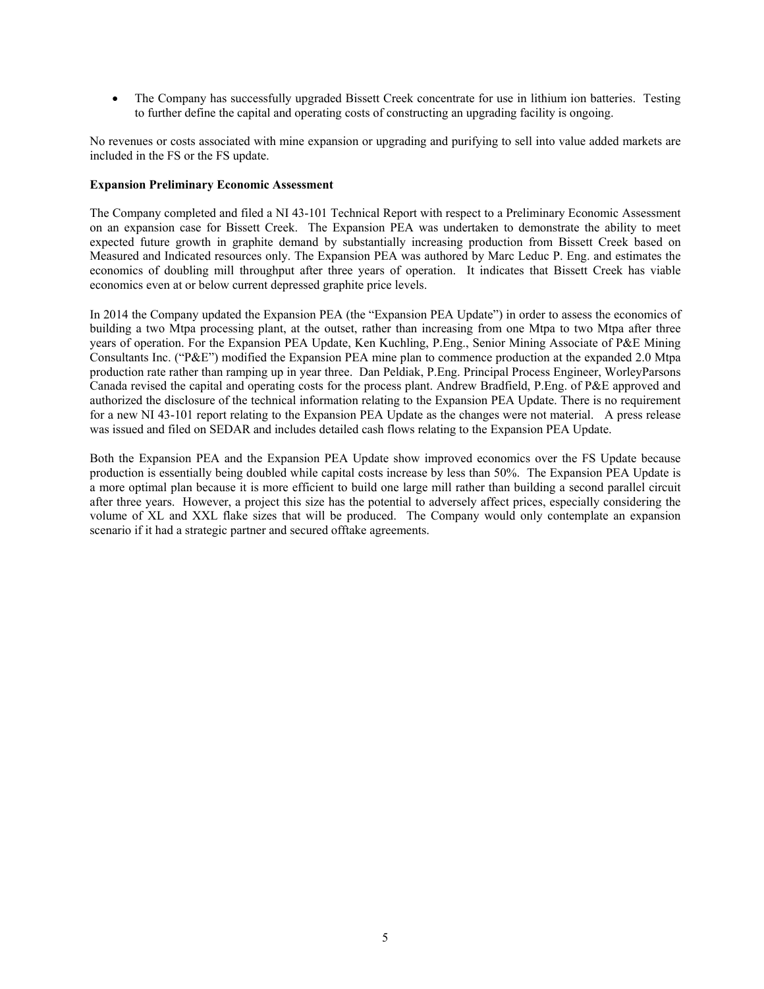The Company has successfully upgraded Bissett Creek concentrate for use in lithium ion batteries. Testing to further define the capital and operating costs of constructing an upgrading facility is ongoing.

No revenues or costs associated with mine expansion or upgrading and purifying to sell into value added markets are included in the FS or the FS update.

### **Expansion Preliminary Economic Assessment**

The Company completed and filed a NI 43-101 Technical Report with respect to a Preliminary Economic Assessment on an expansion case for Bissett Creek. The Expansion PEA was undertaken to demonstrate the ability to meet expected future growth in graphite demand by substantially increasing production from Bissett Creek based on Measured and Indicated resources only. The Expansion PEA was authored by Marc Leduc P. Eng. and estimates the economics of doubling mill throughput after three years of operation. It indicates that Bissett Creek has viable economics even at or below current depressed graphite price levels.

In 2014 the Company updated the Expansion PEA (the "Expansion PEA Update") in order to assess the economics of building a two Mtpa processing plant, at the outset, rather than increasing from one Mtpa to two Mtpa after three years of operation. For the Expansion PEA Update, Ken Kuchling, P.Eng., Senior Mining Associate of P&E Mining Consultants Inc. ("P&E") modified the Expansion PEA mine plan to commence production at the expanded 2.0 Mtpa production rate rather than ramping up in year three. Dan Peldiak, P.Eng. Principal Process Engineer, WorleyParsons Canada revised the capital and operating costs for the process plant. Andrew Bradfield, P.Eng. of P&E approved and authorized the disclosure of the technical information relating to the Expansion PEA Update. There is no requirement for a new NI 43-101 report relating to the Expansion PEA Update as the changes were not material. A press release was issued and filed on SEDAR and includes detailed cash flows relating to the Expansion PEA Update.

Both the Expansion PEA and the Expansion PEA Update show improved economics over the FS Update because production is essentially being doubled while capital costs increase by less than 50%. The Expansion PEA Update is a more optimal plan because it is more efficient to build one large mill rather than building a second parallel circuit after three years. However, a project this size has the potential to adversely affect prices, especially considering the volume of XL and XXL flake sizes that will be produced. The Company would only contemplate an expansion scenario if it had a strategic partner and secured offtake agreements.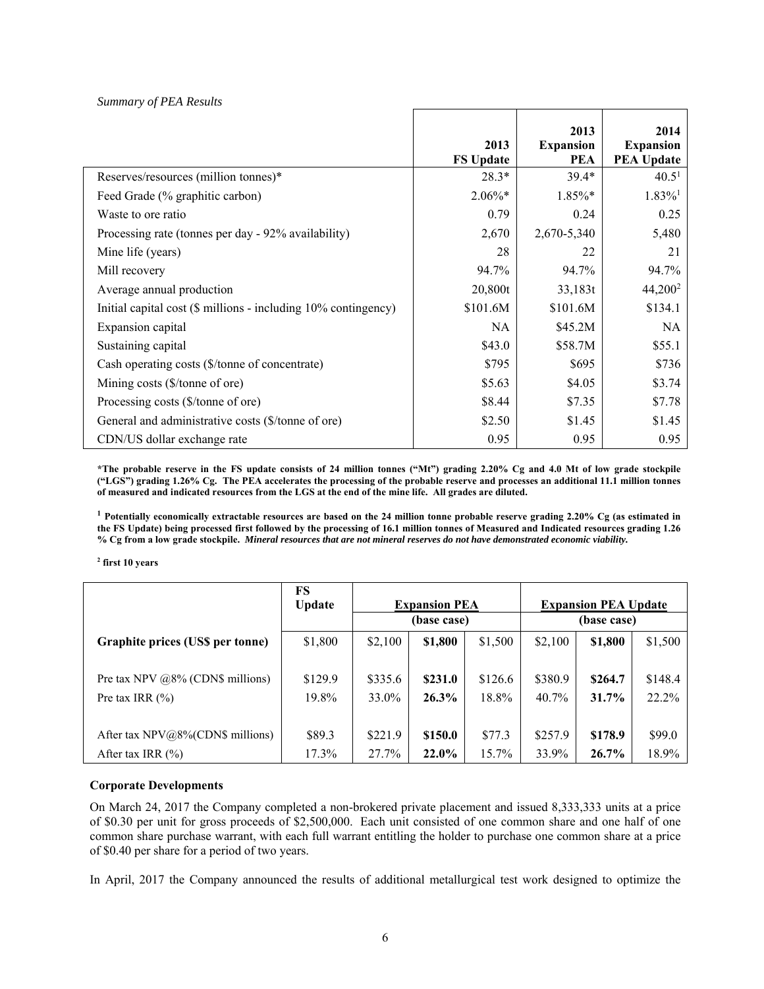|                                                                | 2013<br><b>FS Update</b> | 2013<br><b>Expansion</b><br><b>PEA</b> | 2014<br><b>Expansion</b><br><b>PEA Update</b> |
|----------------------------------------------------------------|--------------------------|----------------------------------------|-----------------------------------------------|
| Reserves/resources (million tonnes)*                           | $28.3*$                  | $39.4*$                                | 40.5 <sup>1</sup>                             |
| Feed Grade (% graphitic carbon)                                | $2.06\%*$                | 1.85%*                                 | $1.83\%$ <sup>1</sup>                         |
| Waste to ore ratio                                             | 0.79                     | 0.24                                   | 0.25                                          |
| Processing rate (tonnes per day - 92% availability)            | 2,670                    | 2,670-5,340                            | 5,480                                         |
| Mine life (years)                                              | 28                       | 22                                     | 21                                            |
| Mill recovery                                                  | 94.7%                    | 94.7%                                  | 94.7%                                         |
| Average annual production                                      | 20,800t                  | 33,183t                                | 44,200 <sup>2</sup>                           |
| Initial capital cost (\$ millions - including 10% contingency) | \$101.6M                 | \$101.6M                               | \$134.1                                       |
| Expansion capital                                              | NA                       | \$45.2M                                | NA.                                           |
| Sustaining capital                                             | \$43.0                   | \$58.7M                                | \$55.1                                        |
| Cash operating costs (\$/tonne of concentrate)                 | \$795                    | \$695                                  | \$736                                         |
| Mining costs (\$/tonne of ore)                                 | \$5.63                   | \$4.05                                 | \$3.74                                        |
| Processing costs (\$/tonne of ore)                             | \$8.44                   | \$7.35                                 | \$7.78                                        |
| General and administrative costs (\$/tonne of ore)             | \$2.50                   | \$1.45                                 | \$1.45                                        |
| CDN/US dollar exchange rate                                    | 0.95                     | 0.95                                   | 0.95                                          |

*Summary of PEA Results* 

**\*The probable reserve in the FS update consists of 24 million tonnes ("Mt") grading 2.20% Cg and 4.0 Mt of low grade stockpile ("LGS") grading 1.26% Cg. The PEA accelerates the processing of the probable reserve and processes an additional 11.1 million tonnes of measured and indicated resources from the LGS at the end of the mine life. All grades are diluted.** 

**<sup>1</sup> Potentially economically extractable resources are based on the 24 million tonne probable reserve grading 2.20% Cg (as estimated in the FS Update) being processed first followed by the processing of 16.1 million tonnes of Measured and Indicated resources grading 1.26 % Cg from a low grade stockpile.** *Mineral resources that are not mineral reserves do not have demonstrated economic viability.* 

**2 first 10 years**

|                                     | FS<br><b>Update</b> | <b>Expansion PEA</b><br>(base case) |         | <b>Expansion PEA Update</b><br>(base case) |         |          |         |
|-------------------------------------|---------------------|-------------------------------------|---------|--------------------------------------------|---------|----------|---------|
| Graphite prices (US\$ per tonne)    | \$1,800             | \$2,100                             | \$1,800 | \$1,500                                    | \$2,100 | \$1,800  | \$1,500 |
| Pre tax NPV $@8\%$ (CDN\$ millions) | \$129.9             | \$335.6                             | \$231.0 | \$126.6                                    | \$380.9 | \$264.7  | \$148.4 |
| Pre tax IRR $(\% )$                 | 19.8%               | 33.0%                               | 26.3%   | 18.8%                                      | 40.7%   | $31.7\%$ | 22.2%   |
| After tax NPV@8%(CDN\$ millions)    | \$89.3              | \$221.9                             | \$150.0 | \$77.3                                     | \$257.9 | \$178.9  | \$99.0  |
| After tax IRR $(\% )$               | 17.3%               | 27.7%                               | 22.0%   | 15.7%                                      | 33.9%   | 26.7%    | 18.9%   |

### **Corporate Developments**

On March 24, 2017 the Company completed a non-brokered private placement and issued 8,333,333 units at a price of \$0.30 per unit for gross proceeds of \$2,500,000. Each unit consisted of one common share and one half of one common share purchase warrant, with each full warrant entitling the holder to purchase one common share at a price of \$0.40 per share for a period of two years.

In April, 2017 the Company announced the results of additional metallurgical test work designed to optimize the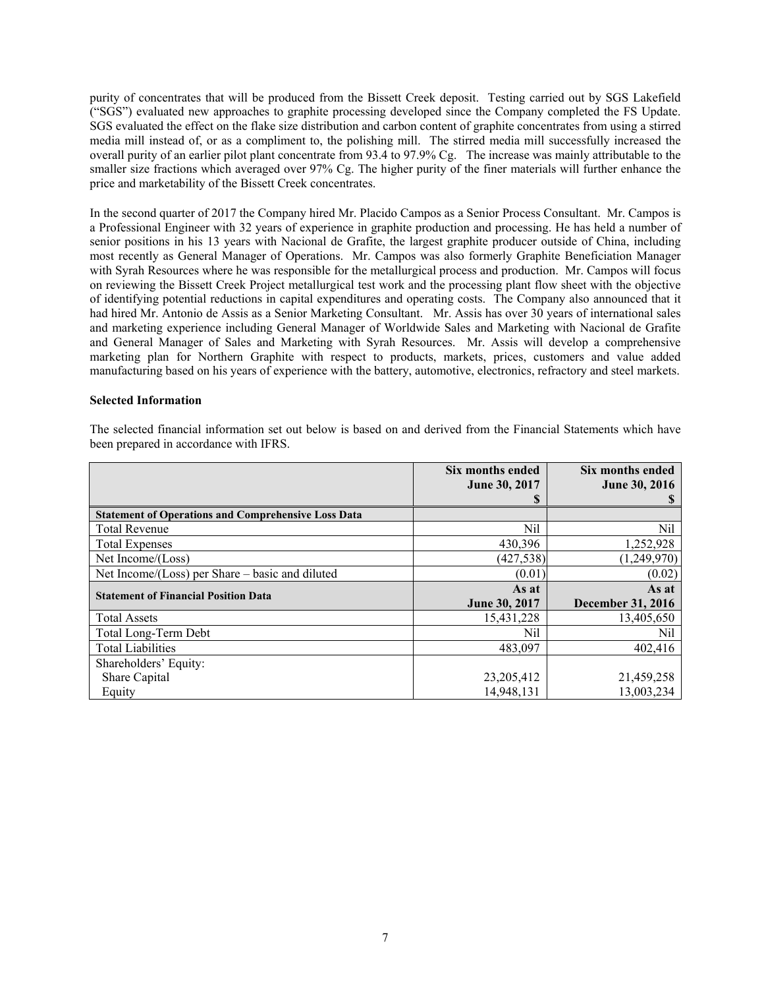purity of concentrates that will be produced from the Bissett Creek deposit. Testing carried out by SGS Lakefield ("SGS") evaluated new approaches to graphite processing developed since the Company completed the FS Update. SGS evaluated the effect on the flake size distribution and carbon content of graphite concentrates from using a stirred media mill instead of, or as a compliment to, the polishing mill. The stirred media mill successfully increased the overall purity of an earlier pilot plant concentrate from 93.4 to 97.9% Cg. The increase was mainly attributable to the smaller size fractions which averaged over 97% Cg. The higher purity of the finer materials will further enhance the price and marketability of the Bissett Creek concentrates.

In the second quarter of 2017 the Company hired Mr. Placido Campos as a Senior Process Consultant. Mr. Campos is a Professional Engineer with 32 years of experience in graphite production and processing. He has held a number of senior positions in his 13 years with Nacional de Grafite, the largest graphite producer outside of China, including most recently as General Manager of Operations. Mr. Campos was also formerly Graphite Beneficiation Manager with Syrah Resources where he was responsible for the metallurgical process and production. Mr. Campos will focus on reviewing the Bissett Creek Project metallurgical test work and the processing plant flow sheet with the objective of identifying potential reductions in capital expenditures and operating costs. The Company also announced that it had hired Mr. Antonio de Assis as a Senior Marketing Consultant. Mr. Assis has over 30 years of international sales and marketing experience including General Manager of Worldwide Sales and Marketing with Nacional de Grafite and General Manager of Sales and Marketing with Syrah Resources. Mr. Assis will develop a comprehensive marketing plan for Northern Graphite with respect to products, markets, prices, customers and value added manufacturing based on his years of experience with the battery, automotive, electronics, refractory and steel markets.

## **Selected Information**

The selected financial information set out below is based on and derived from the Financial Statements which have been prepared in accordance with IFRS.

|                                                            | Six months ended     | Six months ended         |
|------------------------------------------------------------|----------------------|--------------------------|
|                                                            | June 30, 2017<br>S   | <b>June 30, 2016</b>     |
| <b>Statement of Operations and Comprehensive Loss Data</b> |                      |                          |
| <b>Total Revenue</b>                                       | Nil                  | Nil                      |
| <b>Total Expenses</b>                                      | 430,396              | 1,252,928                |
| Net Income/(Loss)                                          | (427, 538)           | (1,249,970)              |
| Net Income/ $(Loss)$ per Share – basic and diluted         | (0.01)               | (0.02)                   |
| <b>Statement of Financial Position Data</b>                | As at                | As at                    |
|                                                            | <b>June 30, 2017</b> | <b>December 31, 2016</b> |
| <b>Total Assets</b>                                        | 15,431,228           | 13,405,650               |
| Total Long-Term Debt                                       | Nil                  | Nil                      |
| <b>Total Liabilities</b>                                   | 483,097              | 402,416                  |
| Shareholders' Equity:                                      |                      |                          |
| Share Capital                                              | 23, 205, 412         | 21,459,258               |
| Equity                                                     | 14,948,131           | 13,003,234               |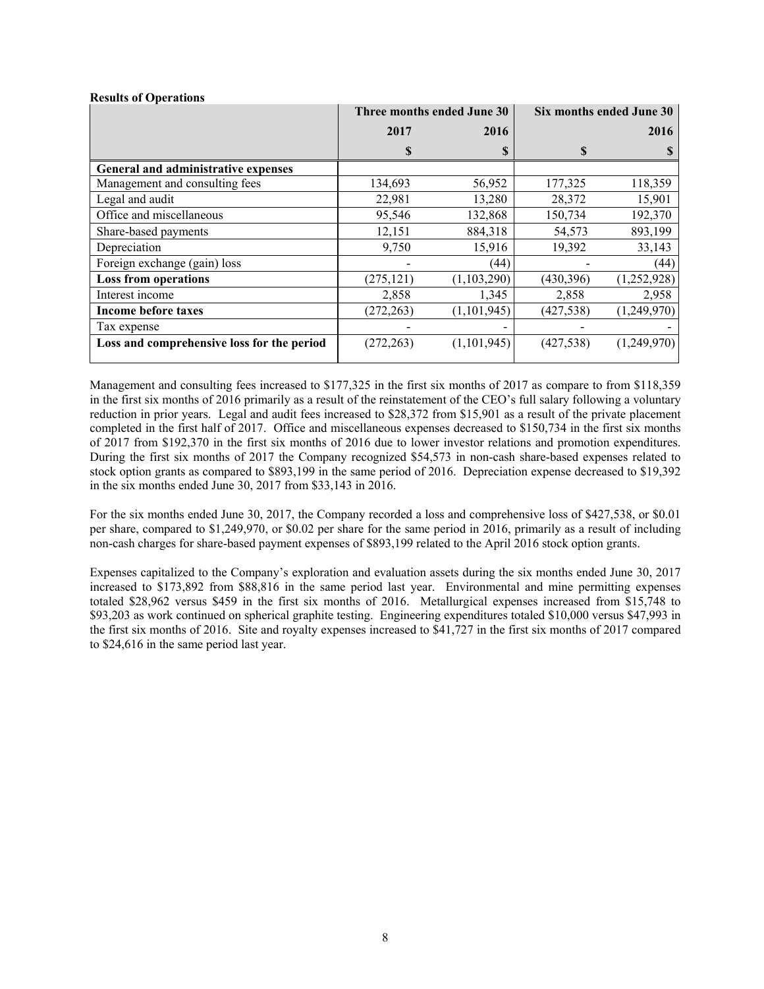|                                            | Three months ended June 30 |               | Six months ended June 30 |             |  |
|--------------------------------------------|----------------------------|---------------|--------------------------|-------------|--|
|                                            | 2017                       | 2016          |                          | 2016        |  |
|                                            | S                          |               | S                        |             |  |
| General and administrative expenses        |                            |               |                          |             |  |
| Management and consulting fees             | 134,693                    | 56,952        | 177,325                  | 118,359     |  |
| Legal and audit                            | 22,981                     | 13,280        | 28,372                   | 15,901      |  |
| Office and miscellaneous                   | 95,546                     | 132,868       | 150,734                  | 192,370     |  |
| Share-based payments                       | 12,151                     | 884,318       | 54,573                   | 893,199     |  |
| Depreciation                               | 9,750                      | 15,916        | 19,392                   | 33,143      |  |
| Foreign exchange (gain) loss               |                            | (44)          |                          | (44)        |  |
| <b>Loss from operations</b>                | (275, 121)                 | (1, 103, 290) | (430, 396)               | (1,252,928) |  |
| Interest income                            | 2,858                      | 1,345         | 2,858                    | 2,958       |  |
| Income before taxes                        | (272, 263)                 | (1, 101, 945) | (427, 538)               | (1,249,970) |  |
| Tax expense                                |                            |               |                          |             |  |
| Loss and comprehensive loss for the period | (272, 263)                 | (1, 101, 945) | (427, 538)               | (1,249,970) |  |

### **Results of Operations**

Management and consulting fees increased to \$177,325 in the first six months of 2017 as compare to from \$118,359 in the first six months of 2016 primarily as a result of the reinstatement of the CEO's full salary following a voluntary reduction in prior years. Legal and audit fees increased to \$28,372 from \$15,901 as a result of the private placement completed in the first half of 2017. Office and miscellaneous expenses decreased to \$150,734 in the first six months of 2017 from \$192,370 in the first six months of 2016 due to lower investor relations and promotion expenditures. During the first six months of 2017 the Company recognized \$54,573 in non-cash share-based expenses related to stock option grants as compared to \$893,199 in the same period of 2016. Depreciation expense decreased to \$19,392 in the six months ended June 30, 2017 from \$33,143 in 2016.

For the six months ended June 30, 2017, the Company recorded a loss and comprehensive loss of \$427,538, or \$0.01 per share, compared to \$1,249,970, or \$0.02 per share for the same period in 2016, primarily as a result of including non-cash charges for share-based payment expenses of \$893,199 related to the April 2016 stock option grants.

Expenses capitalized to the Company's exploration and evaluation assets during the six months ended June 30, 2017 increased to \$173,892 from \$88,816 in the same period last year. Environmental and mine permitting expenses totaled \$28,962 versus \$459 in the first six months of 2016. Metallurgical expenses increased from \$15,748 to \$93,203 as work continued on spherical graphite testing. Engineering expenditures totaled \$10,000 versus \$47,993 in the first six months of 2016. Site and royalty expenses increased to \$41,727 in the first six months of 2017 compared to \$24,616 in the same period last year.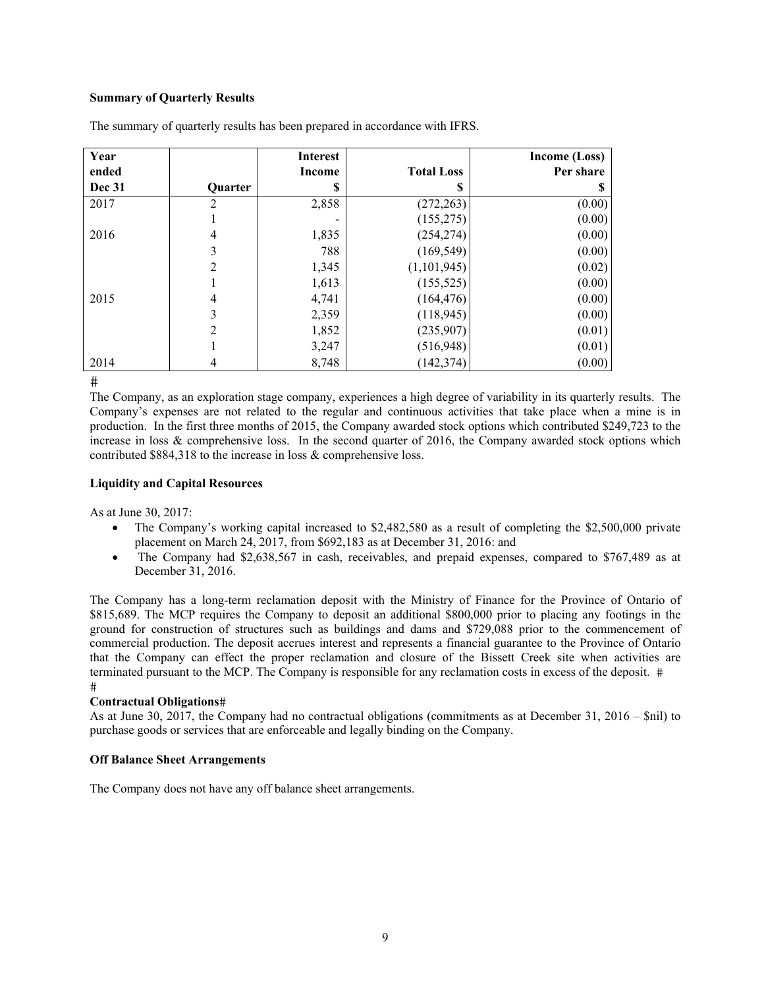# **Summary of Quarterly Results**

| Year          |         | <b>Interest</b> |                   | Income (Loss) |
|---------------|---------|-----------------|-------------------|---------------|
| ended         |         | Income          | <b>Total Loss</b> | Per share     |
| <b>Dec 31</b> | Quarter | S               | S                 |               |
| 2017          |         | 2,858           | (272, 263)        | (0.00)        |
|               |         |                 | (155, 275)        | (0.00)        |
| 2016          | 4       | 1,835           | (254, 274)        | (0.00)        |
|               | 3       | 788             | (169, 549)        | (0.00)        |
|               | 2       | 1,345           | (1, 101, 945)     | (0.02)        |
|               |         | 1,613           | (155, 525)        | (0.00)        |
| 2015          | 4       | 4,741           | (164, 476)        | (0.00)        |
|               | 3       | 2,359           | (118, 945)        | (0.00)        |
|               | 2       | 1,852           | (235,907)         | (0.01)        |
|               |         | 3,247           | (516,948)         | (0.01)        |
| 2014          | 4       | 8,748           | (142, 374)        | (0.00)        |

The summary of quarterly results has been prepared in accordance with IFRS.

 $#$ 

The Company, as an exploration stage company, experiences a high degree of variability in its quarterly results. The Company's expenses are not related to the regular and continuous activities that take place when a mine is in production. In the first three months of 2015, the Company awarded stock options which contributed \$249,723 to the increase in loss & comprehensive loss. In the second quarter of 2016, the Company awarded stock options which contributed \$884,318 to the increase in loss & comprehensive loss.

### **Liquidity and Capital Resources**

As at June 30, 2017:

- The Company's working capital increased to \$2,482,580 as a result of completing the \$2,500,000 private placement on March 24, 2017, from \$692,183 as at December 31, 2016: and
- The Company had \$2,638,567 in cash, receivables, and prepaid expenses, compared to \$767,489 as at December 31, 2016.

The Company has a long-term reclamation deposit with the Ministry of Finance for the Province of Ontario of \$815,689. The MCP requires the Company to deposit an additional \$800,000 prior to placing any footings in the ground for construction of structures such as buildings and dams and \$729,088 prior to the commencement of commercial production. The deposit accrues interest and represents a financial guarantee to the Province of Ontario that the Company can effect the proper reclamation and closure of the Bissett Creek site when activities are terminated pursuant to the MCP. The Company is responsible for any reclamation costs in excess of the deposit.  $#$ 

### **Contractual Obligations**

As at June 30, 2017, the Company had no contractual obligations (commitments as at December 31, 2016 – \$nil) to purchase goods or services that are enforceable and legally binding on the Company.

### **Off Balance Sheet Arrangements**

The Company does not have any off balance sheet arrangements.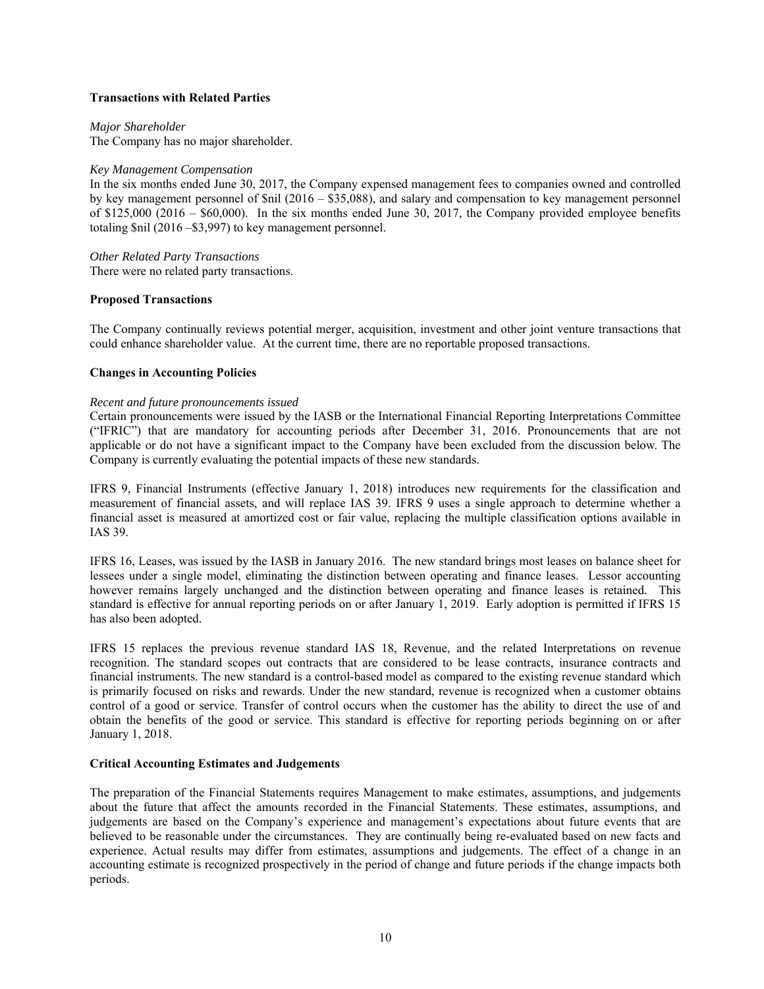# **Transactions with Related Parties**

*Major Shareholder* 

The Company has no major shareholder.

## *Key Management Compensation*

In the six months ended June 30, 2017, the Company expensed management fees to companies owned and controlled by key management personnel of \$nil (2016 – \$35,088), and salary and compensation to key management personnel of \$125,000 (2016 – \$60,000). In the six months ended June 30, 2017, the Company provided employee benefits totaling \$nil (2016 –\$3,997) to key management personnel.

# *Other Related Party Transactions*

There were no related party transactions.

# **Proposed Transactions**

The Company continually reviews potential merger, acquisition, investment and other joint venture transactions that could enhance shareholder value. At the current time, there are no reportable proposed transactions.

### **Changes in Accounting Policies**

### *Recent and future pronouncements issued*

Certain pronouncements were issued by the IASB or the International Financial Reporting Interpretations Committee ("IFRIC") that are mandatory for accounting periods after December 31, 2016. Pronouncements that are not applicable or do not have a significant impact to the Company have been excluded from the discussion below. The Company is currently evaluating the potential impacts of these new standards.

IFRS 9, Financial Instruments (effective January 1, 2018) introduces new requirements for the classification and measurement of financial assets, and will replace IAS 39. IFRS 9 uses a single approach to determine whether a financial asset is measured at amortized cost or fair value, replacing the multiple classification options available in IAS 39.

IFRS 16, Leases, was issued by the IASB in January 2016. The new standard brings most leases on balance sheet for lessees under a single model, eliminating the distinction between operating and finance leases. Lessor accounting however remains largely unchanged and the distinction between operating and finance leases is retained. This standard is effective for annual reporting periods on or after January 1, 2019. Early adoption is permitted if IFRS 15 has also been adopted.

IFRS 15 replaces the previous revenue standard IAS 18, Revenue, and the related Interpretations on revenue recognition. The standard scopes out contracts that are considered to be lease contracts, insurance contracts and financial instruments. The new standard is a control-based model as compared to the existing revenue standard which is primarily focused on risks and rewards. Under the new standard, revenue is recognized when a customer obtains control of a good or service. Transfer of control occurs when the customer has the ability to direct the use of and obtain the benefits of the good or service. This standard is effective for reporting periods beginning on or after January 1, 2018.

### **Critical Accounting Estimates and Judgements**

The preparation of the Financial Statements requires Management to make estimates, assumptions, and judgements about the future that affect the amounts recorded in the Financial Statements. These estimates, assumptions, and judgements are based on the Company's experience and management's expectations about future events that are believed to be reasonable under the circumstances. They are continually being re-evaluated based on new facts and experience. Actual results may differ from estimates, assumptions and judgements. The effect of a change in an accounting estimate is recognized prospectively in the period of change and future periods if the change impacts both periods.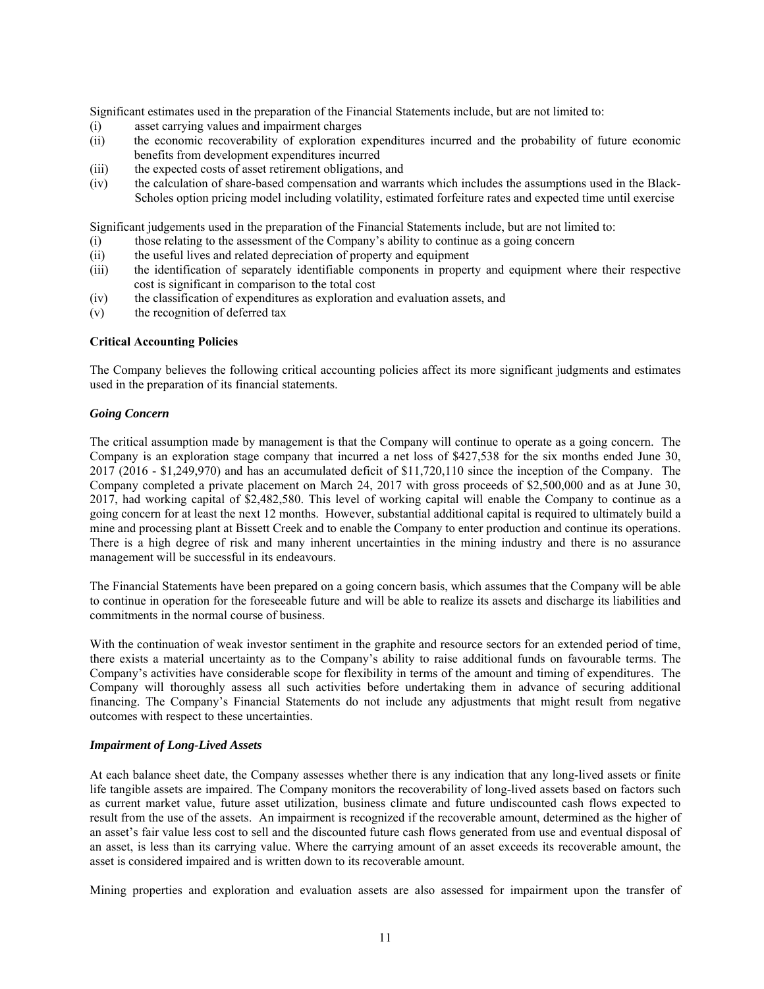Significant estimates used in the preparation of the Financial Statements include, but are not limited to:

- (i) asset carrying values and impairment charges
- (ii) the economic recoverability of exploration expenditures incurred and the probability of future economic benefits from development expenditures incurred
- (iii) the expected costs of asset retirement obligations, and
- (iv) the calculation of share-based compensation and warrants which includes the assumptions used in the Black-Scholes option pricing model including volatility, estimated forfeiture rates and expected time until exercise

Significant judgements used in the preparation of the Financial Statements include, but are not limited to:

- (i) those relating to the assessment of the Company's ability to continue as a going concern
- (ii) the useful lives and related depreciation of property and equipment
- (iii) the identification of separately identifiable components in property and equipment where their respective cost is significant in comparison to the total cost
- (iv) the classification of expenditures as exploration and evaluation assets, and
- (v) the recognition of deferred tax

# **Critical Accounting Policies**

The Company believes the following critical accounting policies affect its more significant judgments and estimates used in the preparation of its financial statements.

# *Going Concern*

The critical assumption made by management is that the Company will continue to operate as a going concern. The Company is an exploration stage company that incurred a net loss of \$427,538 for the six months ended June 30, 2017 (2016 - \$1,249,970) and has an accumulated deficit of \$11,720,110 since the inception of the Company. The Company completed a private placement on March 24, 2017 with gross proceeds of \$2,500,000 and as at June 30, 2017, had working capital of \$2,482,580. This level of working capital will enable the Company to continue as a going concern for at least the next 12 months. However, substantial additional capital is required to ultimately build a mine and processing plant at Bissett Creek and to enable the Company to enter production and continue its operations. There is a high degree of risk and many inherent uncertainties in the mining industry and there is no assurance management will be successful in its endeavours.

The Financial Statements have been prepared on a going concern basis, which assumes that the Company will be able to continue in operation for the foreseeable future and will be able to realize its assets and discharge its liabilities and commitments in the normal course of business.

With the continuation of weak investor sentiment in the graphite and resource sectors for an extended period of time, there exists a material uncertainty as to the Company's ability to raise additional funds on favourable terms. The Company's activities have considerable scope for flexibility in terms of the amount and timing of expenditures. The Company will thoroughly assess all such activities before undertaking them in advance of securing additional financing. The Company's Financial Statements do not include any adjustments that might result from negative outcomes with respect to these uncertainties.

### *Impairment of Long-Lived Assets*

At each balance sheet date, the Company assesses whether there is any indication that any long-lived assets or finite life tangible assets are impaired. The Company monitors the recoverability of long-lived assets based on factors such as current market value, future asset utilization, business climate and future undiscounted cash flows expected to result from the use of the assets. An impairment is recognized if the recoverable amount, determined as the higher of an asset's fair value less cost to sell and the discounted future cash flows generated from use and eventual disposal of an asset, is less than its carrying value. Where the carrying amount of an asset exceeds its recoverable amount, the asset is considered impaired and is written down to its recoverable amount.

Mining properties and exploration and evaluation assets are also assessed for impairment upon the transfer of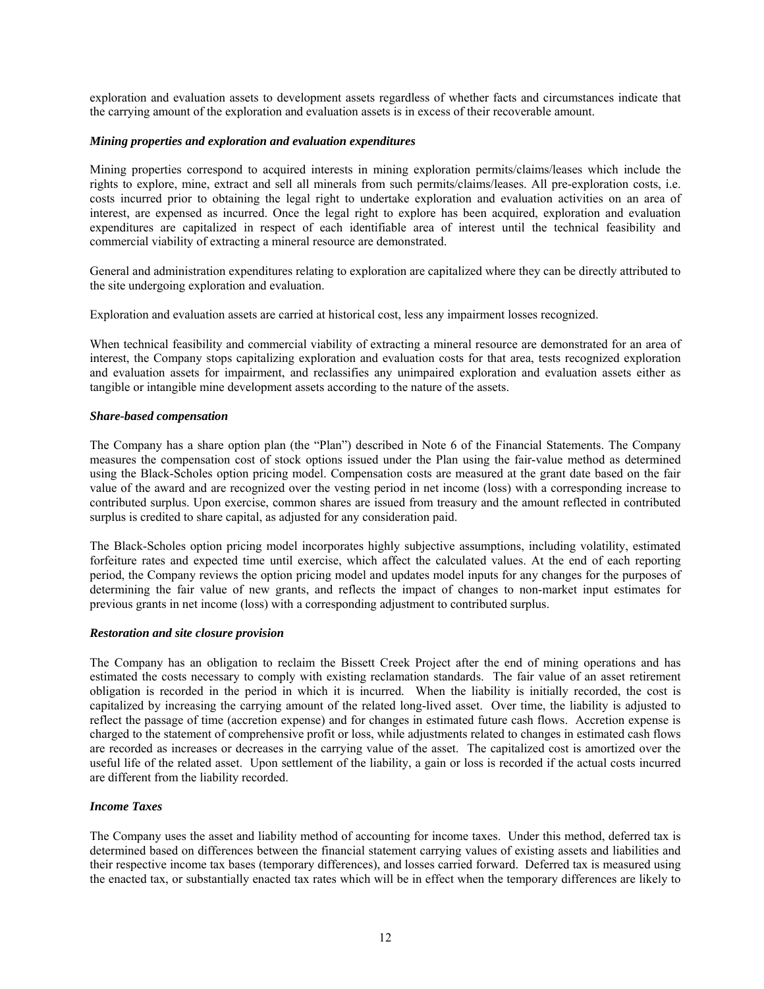exploration and evaluation assets to development assets regardless of whether facts and circumstances indicate that the carrying amount of the exploration and evaluation assets is in excess of their recoverable amount.

## *Mining properties and exploration and evaluation expenditures*

Mining properties correspond to acquired interests in mining exploration permits/claims/leases which include the rights to explore, mine, extract and sell all minerals from such permits/claims/leases. All pre-exploration costs, i.e. costs incurred prior to obtaining the legal right to undertake exploration and evaluation activities on an area of interest, are expensed as incurred. Once the legal right to explore has been acquired, exploration and evaluation expenditures are capitalized in respect of each identifiable area of interest until the technical feasibility and commercial viability of extracting a mineral resource are demonstrated.

General and administration expenditures relating to exploration are capitalized where they can be directly attributed to the site undergoing exploration and evaluation.

Exploration and evaluation assets are carried at historical cost, less any impairment losses recognized.

When technical feasibility and commercial viability of extracting a mineral resource are demonstrated for an area of interest, the Company stops capitalizing exploration and evaluation costs for that area, tests recognized exploration and evaluation assets for impairment, and reclassifies any unimpaired exploration and evaluation assets either as tangible or intangible mine development assets according to the nature of the assets.

### *Share-based compensation*

The Company has a share option plan (the "Plan") described in Note 6 of the Financial Statements. The Company measures the compensation cost of stock options issued under the Plan using the fair-value method as determined using the Black-Scholes option pricing model. Compensation costs are measured at the grant date based on the fair value of the award and are recognized over the vesting period in net income (loss) with a corresponding increase to contributed surplus. Upon exercise, common shares are issued from treasury and the amount reflected in contributed surplus is credited to share capital, as adjusted for any consideration paid.

The Black-Scholes option pricing model incorporates highly subjective assumptions, including volatility, estimated forfeiture rates and expected time until exercise, which affect the calculated values. At the end of each reporting period, the Company reviews the option pricing model and updates model inputs for any changes for the purposes of determining the fair value of new grants, and reflects the impact of changes to non-market input estimates for previous grants in net income (loss) with a corresponding adjustment to contributed surplus.

### *Restoration and site closure provision*

The Company has an obligation to reclaim the Bissett Creek Project after the end of mining operations and has estimated the costs necessary to comply with existing reclamation standards. The fair value of an asset retirement obligation is recorded in the period in which it is incurred. When the liability is initially recorded, the cost is capitalized by increasing the carrying amount of the related long-lived asset. Over time, the liability is adjusted to reflect the passage of time (accretion expense) and for changes in estimated future cash flows. Accretion expense is charged to the statement of comprehensive profit or loss, while adjustments related to changes in estimated cash flows are recorded as increases or decreases in the carrying value of the asset. The capitalized cost is amortized over the useful life of the related asset. Upon settlement of the liability, a gain or loss is recorded if the actual costs incurred are different from the liability recorded.

# *Income Taxes*

The Company uses the asset and liability method of accounting for income taxes. Under this method, deferred tax is determined based on differences between the financial statement carrying values of existing assets and liabilities and their respective income tax bases (temporary differences), and losses carried forward. Deferred tax is measured using the enacted tax, or substantially enacted tax rates which will be in effect when the temporary differences are likely to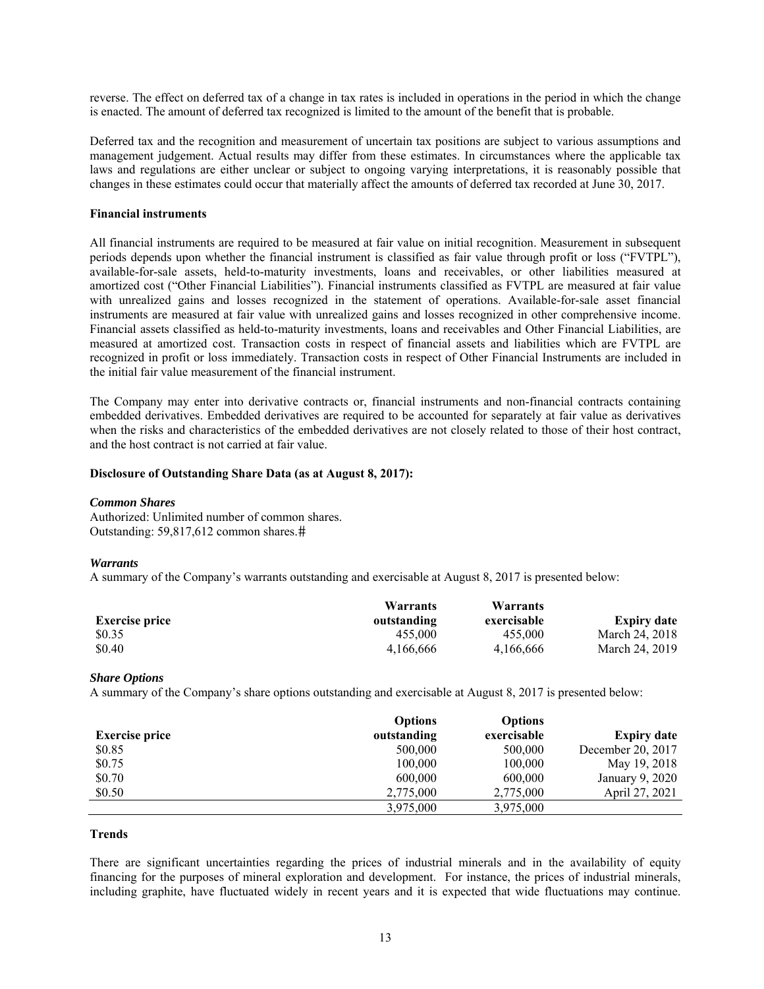reverse. The effect on deferred tax of a change in tax rates is included in operations in the period in which the change is enacted. The amount of deferred tax recognized is limited to the amount of the benefit that is probable.

Deferred tax and the recognition and measurement of uncertain tax positions are subject to various assumptions and management judgement. Actual results may differ from these estimates. In circumstances where the applicable tax laws and regulations are either unclear or subject to ongoing varying interpretations, it is reasonably possible that changes in these estimates could occur that materially affect the amounts of deferred tax recorded at June 30, 2017.

### **Financial instruments**

All financial instruments are required to be measured at fair value on initial recognition. Measurement in subsequent periods depends upon whether the financial instrument is classified as fair value through profit or loss ("FVTPL"), available-for-sale assets, held-to-maturity investments, loans and receivables, or other liabilities measured at amortized cost ("Other Financial Liabilities"). Financial instruments classified as FVTPL are measured at fair value with unrealized gains and losses recognized in the statement of operations. Available-for-sale asset financial instruments are measured at fair value with unrealized gains and losses recognized in other comprehensive income. Financial assets classified as held-to-maturity investments, loans and receivables and Other Financial Liabilities, are measured at amortized cost. Transaction costs in respect of financial assets and liabilities which are FVTPL are recognized in profit or loss immediately. Transaction costs in respect of Other Financial Instruments are included in the initial fair value measurement of the financial instrument.

The Company may enter into derivative contracts or, financial instruments and non-financial contracts containing embedded derivatives. Embedded derivatives are required to be accounted for separately at fair value as derivatives when the risks and characteristics of the embedded derivatives are not closely related to those of their host contract, and the host contract is not carried at fair value.

#### **Disclosure of Outstanding Share Data (as at August 8, 2017):**

#### *Common Shares*

Authorized: Unlimited number of common shares. Outstanding: 59,817,612 common shares.

#### *Warrants*

A summary of the Company's warrants outstanding and exercisable at August 8, 2017 is presented below:

|                       | Warrants    | Warrants    |                    |
|-----------------------|-------------|-------------|--------------------|
| <b>Exercise price</b> | outstanding | exercisable | <b>Expiry date</b> |
| \$0.35                | 455,000     | 455,000     | March 24, 2018     |
| \$0.40                | 4.166.666   | 4.166.666   | March 24, 2019     |

#### *Share Options*

A summary of the Company's share options outstanding and exercisable at August 8, 2017 is presented below:

|                       | <b>Options</b> | <b>Options</b> |                    |
|-----------------------|----------------|----------------|--------------------|
| <b>Exercise price</b> | outstanding    | exercisable    | <b>Expiry date</b> |
| \$0.85                | 500,000        | 500,000        | December 20, 2017  |
| \$0.75                | 100,000        | 100,000        | May 19, 2018       |
| \$0.70                | 600,000        | 600,000        | January 9, 2020    |
| \$0.50                | 2,775,000      | 2,775,000      | April 27, 2021     |
|                       | 3,975,000      | 3,975,000      |                    |

#### **Trends**

There are significant uncertainties regarding the prices of industrial minerals and in the availability of equity financing for the purposes of mineral exploration and development. For instance, the prices of industrial minerals, including graphite, have fluctuated widely in recent years and it is expected that wide fluctuations may continue.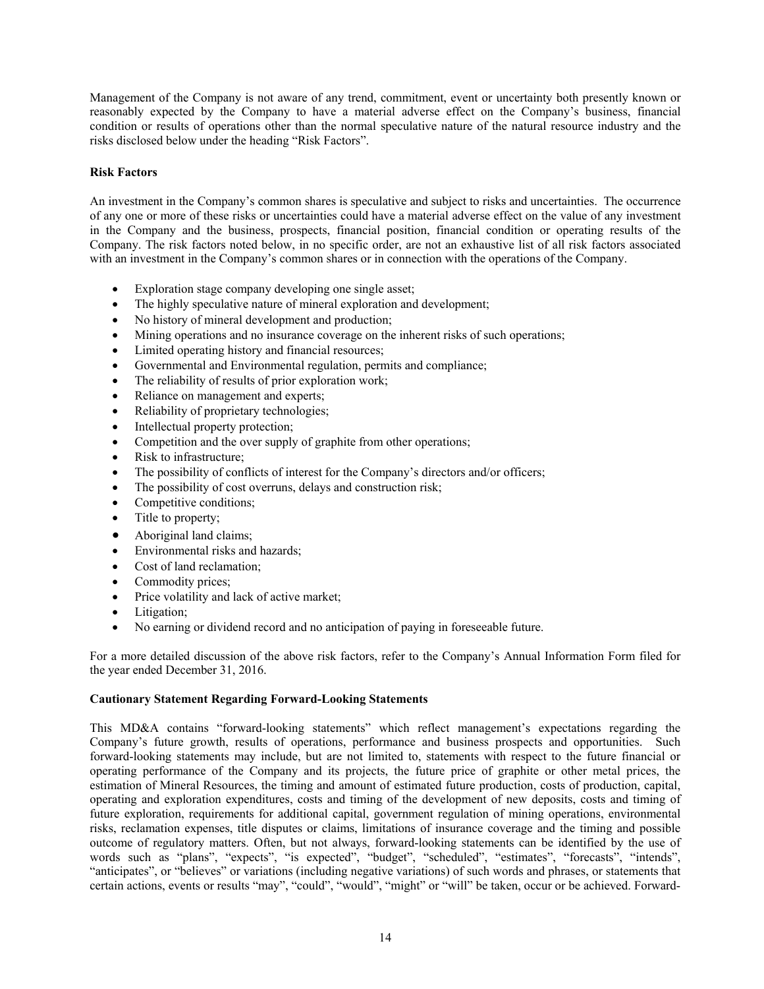Management of the Company is not aware of any trend, commitment, event or uncertainty both presently known or reasonably expected by the Company to have a material adverse effect on the Company's business, financial condition or results of operations other than the normal speculative nature of the natural resource industry and the risks disclosed below under the heading "Risk Factors".

# **Risk Factors**

An investment in the Company's common shares is speculative and subject to risks and uncertainties. The occurrence of any one or more of these risks or uncertainties could have a material adverse effect on the value of any investment in the Company and the business, prospects, financial position, financial condition or operating results of the Company. The risk factors noted below, in no specific order, are not an exhaustive list of all risk factors associated with an investment in the Company's common shares or in connection with the operations of the Company.

- Exploration stage company developing one single asset;
- The highly speculative nature of mineral exploration and development;
- No history of mineral development and production;
- Mining operations and no insurance coverage on the inherent risks of such operations;
- Limited operating history and financial resources;
- Governmental and Environmental regulation, permits and compliance;
- The reliability of results of prior exploration work;
- Reliance on management and experts;
- Reliability of proprietary technologies;
- Intellectual property protection;
- Competition and the over supply of graphite from other operations;
- Risk to infrastructure:
- The possibility of conflicts of interest for the Company's directors and/or officers;
- The possibility of cost overruns, delays and construction risk;
- Competitive conditions;
- Title to property;
- Aboriginal land claims;
- Environmental risks and hazards;
- Cost of land reclamation:
- Commodity prices;
- Price volatility and lack of active market;
- Litigation;
- No earning or dividend record and no anticipation of paying in foreseeable future.

For a more detailed discussion of the above risk factors, refer to the Company's Annual Information Form filed for the year ended December 31, 2016.

### **Cautionary Statement Regarding Forward-Looking Statements**

This MD&A contains "forward-looking statements" which reflect management's expectations regarding the Company's future growth, results of operations, performance and business prospects and opportunities. Such forward-looking statements may include, but are not limited to, statements with respect to the future financial or operating performance of the Company and its projects, the future price of graphite or other metal prices, the estimation of Mineral Resources, the timing and amount of estimated future production, costs of production, capital, operating and exploration expenditures, costs and timing of the development of new deposits, costs and timing of future exploration, requirements for additional capital, government regulation of mining operations, environmental risks, reclamation expenses, title disputes or claims, limitations of insurance coverage and the timing and possible outcome of regulatory matters. Often, but not always, forward-looking statements can be identified by the use of words such as "plans", "expects", "is expected", "budget", "scheduled", "estimates", "forecasts", "intends", "anticipates", or "believes" or variations (including negative variations) of such words and phrases, or statements that certain actions, events or results "may", "could", "would", "might" or "will" be taken, occur or be achieved. Forward